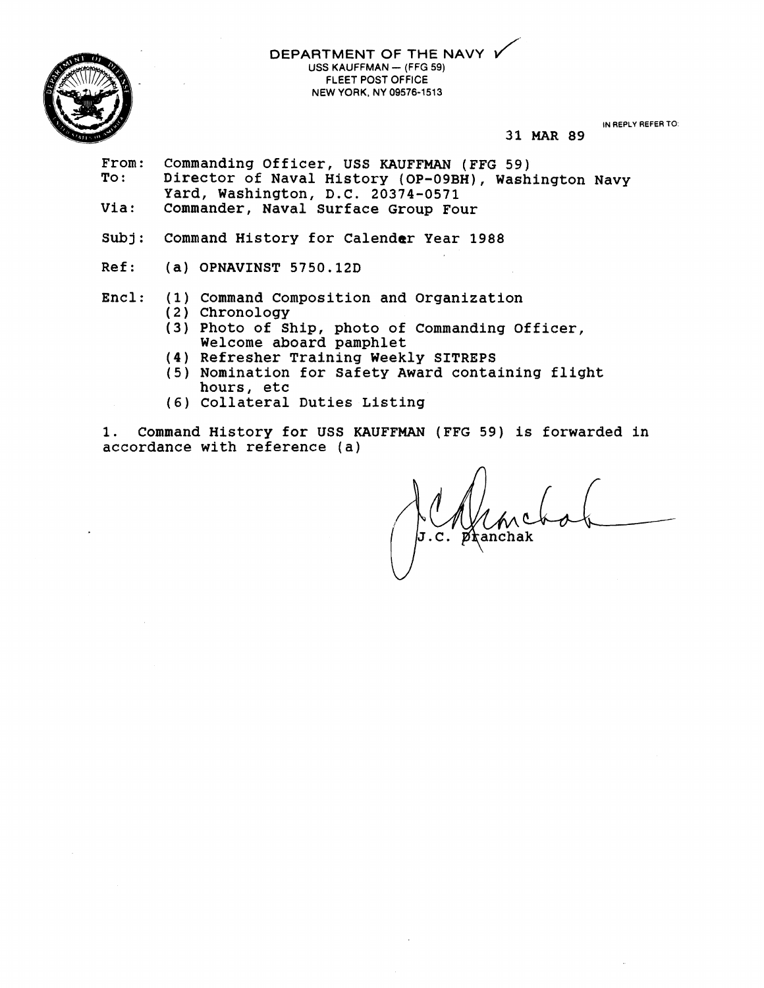

**DEPARTMENT OF THE NAVY USS KAUFFMAN** - **(FFG 59) FLEET POST OFFICE NEW YORK, NY 09576-1513** 

**IN REPLY REFER TO:** 

#### **31** MAR **89**

- From: Commanding Officer, US3 KAUFFMAN (FFG 59) Director of Naval History (OP-09BH), Washington Navy Yard, Washington, D.C. 20374-0571 Via: Commander, Naval Surface Group Four
- 
- Subj: Command History for Calender Year **1988**
- Ref: (a) OPNAVINST **5750.12D**

### Encl: (1) Command Composition and Organization

- ( 2 ) Chronology
- (3) Photo of Ship, photo of Commanding Officer, Welcome aboard pamphlet
- **(4)** Refresher Training Weekly SITREPS
- (5) Nomination for Safety Award containing flight hours, etc
- (6) Collateral Duties Listing

1. Command History for USS KAUFFMAN (FFG 59) is forwarded in accordance with reference (a)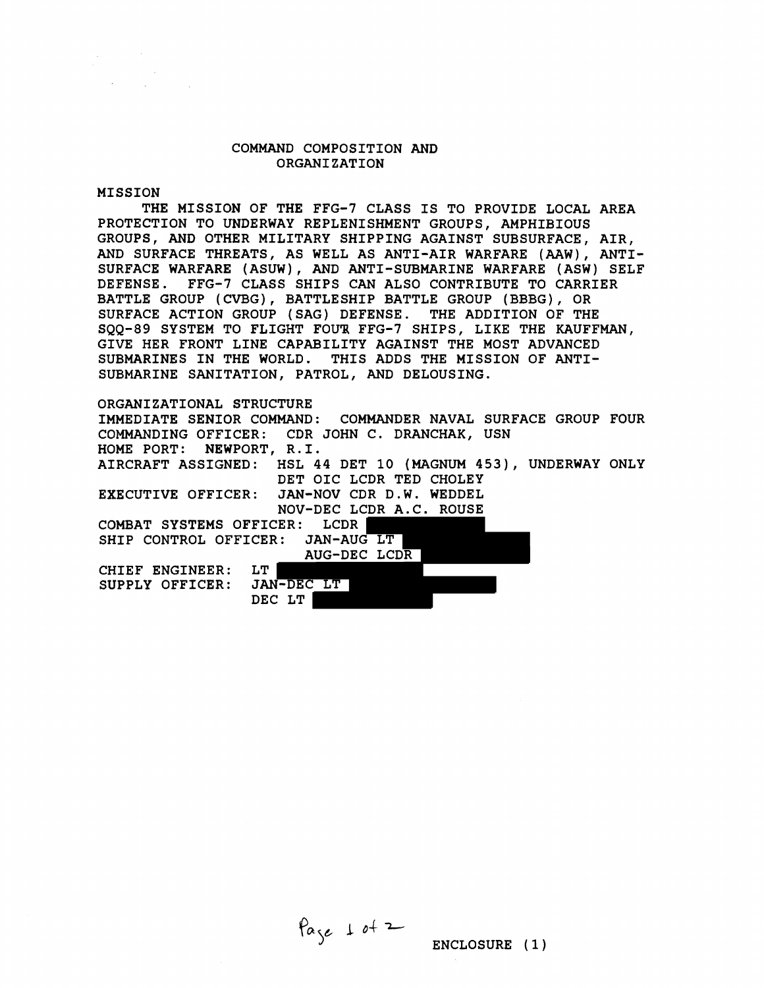#### COMMAND COMPOSITION AND ORGANIZATION

MISSION

THE MISSION OF THE FFG-7 CLASS IS TO PROVIDE LOCAL AREA PROTECTION TO UNDERWAY REPLENISHMENT GROUPS, AMPHIBIOUS GROUPS, AND OTHER MILITARY SHIPPING AGAINST SUBSURFACE, AIR, AND SURFACE THREATS, AS WELL AS ANTI-AIR WARFARE (AAW), ANTI-SURFACE WARFARE (ASUW), AND ANTI-SUBMARINE WARFARE (ASW) SELF DEFENSE. FFG-7 CLASS SHIPS CAN ALSO CONTRIBUTE TO CARRIER BATTLE GROUP (CVBG), BATTLESHIP BATTLE GROUP (BBBG), OR SURFACE ACTION GROUP (SAG) DEFENSE. THE ADDITION OF THE SQQ-89 SYSTEM TO FLIGHT FOUT FFG-7 SHIPS, LIKE THE KAUFFMAN, GIVE HER FRONT LINE CAPABILITY AGAINST THE MOST ADVANCED SUBMARINES IN THE WORLD. THIS ADDS THE MISSION OF ANTI-SUBMARINE SANITATION, PATROL, AND DELOUSING.

ORGANIZATIONAL STRUCTURE IMMEDIATE SENIOR COMMAND: COMMANDER NAVAL SURFACE GROUP FOUR COMMANDING OFFICER: CDR JOHN C. DRANCHAK, USN HOME PORT: NEWPORT, R.I. NEWPORT, R.I. AIRCRAFT ASSIGNED: HSL 44 DET 10 (MAGNUM **453),** UNDERWAY ONLY DET OIC LCDR TED CHOLEY EXECUTIVE OFFICER: JAN-NOV CDR D.W. WEDDEL NOV-DEC LCDR A.C. ROUSE COMBAT SYSTEMS OFFICER: LCDR SHIP CONTROL OFFICER: JAN-AUG LT AUG-DEC LCDR CHIEF ENGINEER: LT<br>SUPPLY OFFICER: JAN-DEC LT SUPPLY OFFICER: DEC LT

P@>' 1 **0-4** 

ENCLOSURE (1)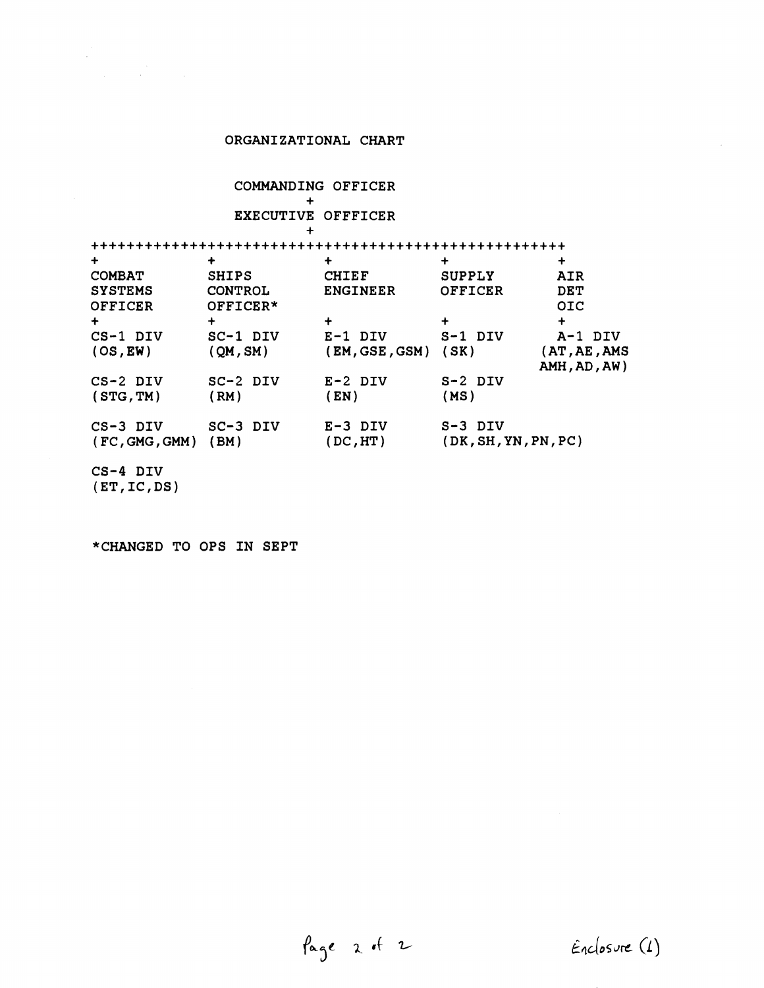## **ORGANIZATIONAL CHART**

## **COMMANDING OFFICER**   $+$

# **EXECUTIVE OFFFICER**

| ********************** |                |                 |                      |               |  |
|------------------------|----------------|-----------------|----------------------|---------------|--|
| $\ddot{}$              | ۰              | +               | +                    | $\ddot{}$     |  |
| <b>COMBAT</b>          | <b>SHIPS</b>   | <b>CHIEF</b>    | <b>SUPPLY</b>        | AIR           |  |
| <b>SYSTEMS</b>         | <b>CONTROL</b> | <b>ENGINEER</b> | OFFICER              | DET           |  |
| OFFICER                | OFFICER*       |                 |                      | OIC           |  |
| +                      | $\ddot{}$      | ┿               | +                    | +             |  |
| CS-1 DIV               | SC-1 DIV       | $E-1$ DIV       | $S-1$ DIV            | A-1 DIV       |  |
| (OS, EW)               | (QM, SM)       | (EM, GSE, GSM)  | (SK)                 | (AT, AE, AMS) |  |
|                        |                |                 |                      | AMH, AD, AW)  |  |
| CS-2 DIV               | $SC-2$ DIV     | $E-2$ DIV       | S-2 DIV              |               |  |
| (STG, TM)              | (RM)           | (EN)            | (MS)                 |               |  |
| $CS-3$ DIV             | $SC-3$ DIV     | $E-3$ DIV       | S-3 DIV              |               |  |
| (FC, GMG, GMM)         | (BM)           | (DC, HT)        | (DK, SH, YN, PN, PC) |               |  |
| CS-4 DIV               |                |                 |                      |               |  |
| (ET, IC, DS)           |                |                 |                      |               |  |

**\*CHANGED TO OPS IN SEPT** 

Page 2 of 2

Enclosure (1)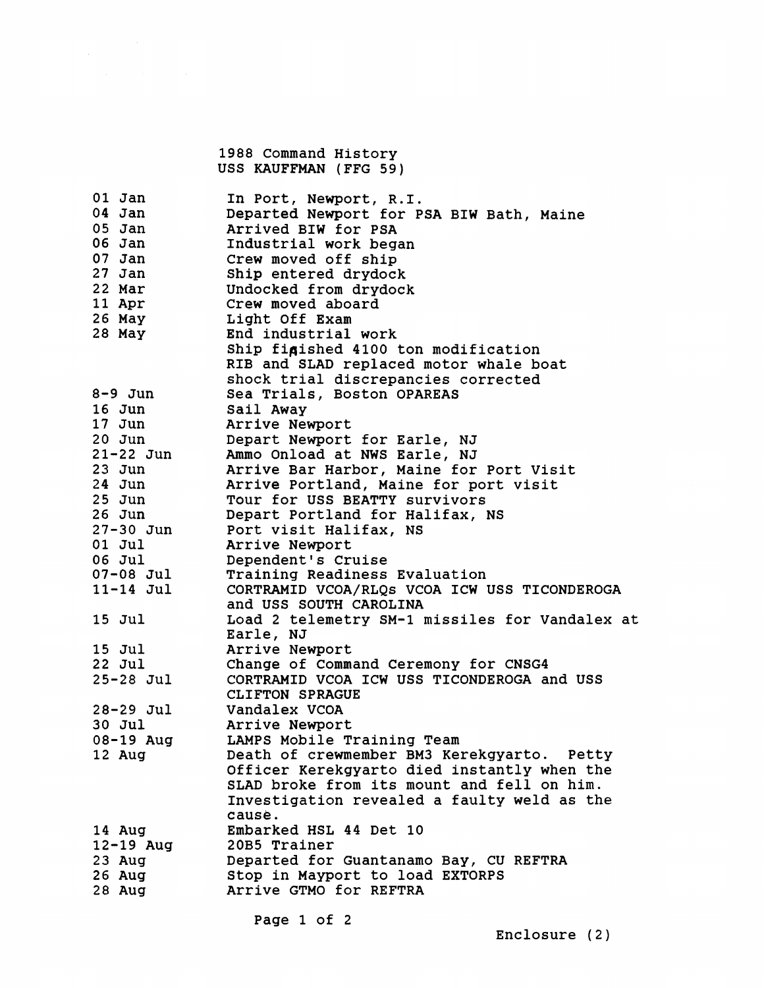|               | 1988 Command History                           |
|---------------|------------------------------------------------|
|               | USS KAUFFMAN (FFG 59)                          |
|               |                                                |
| $01$ Jan      | In Port, Newport, R.I.                         |
| $04$ Jan      | Departed Newport for PSA BIW Bath, Maine       |
| $05$ Jan      | Arrived BIW for PSA                            |
| 06 Jan        | Industrial work began                          |
| 07 Jan        | Crew moved off ship                            |
| 27 Jan        | Ship entered drydock                           |
| 22 Mar        | Undocked from drydock                          |
| 11 Apr        | Crew moved aboard                              |
| 26 May        | Light Off Exam                                 |
| 28 May        | End industrial work                            |
|               | Ship figished 4100 ton modification            |
|               | RIB and SLAD replaced motor whale boat         |
|               | shock trial discrepancies corrected            |
| $8-9$ Jun     | Sea Trials, Boston OPAREAS                     |
| $16$ Jun      | Sail Away                                      |
| 17 Jun        | Arrive Newport                                 |
| $20$ Jun      | Depart Newport for Earle, NJ                   |
| $21 - 22$ Jun | Ammo Onload at NWS Earle, NJ                   |
| $23$ Jun      | Arrive Bar Harbor, Maine for Port Visit        |
| 24 Jun        | Arrive Portland, Maine for port visit          |
| $25$ Jun      | Tour for USS BEATTY survivors                  |
| $26$ Jun      | Depart Portland for Halifax, NS                |
| 27-30 Jun     | Port visit Halifax, NS                         |
| 01 Jul        | Arrive Newport                                 |
| 06 Jul        | Dependent's Cruise                             |
| $07 - 08$ Jul | Training Readiness Evaluation                  |
| 11-14 Jul     | CORTRAMID VCOA/RLQS VCOA ICW USS TICONDEROGA   |
|               | and USS SOUTH CAROLINA                         |
| 15 Jul        | Load 2 telemetry SM-1 missiles for Vandalex at |
|               | Earle, NJ                                      |
| 15 Jul        | Arrive Newport                                 |
| $22$ Jul      | Change of Command Ceremony for CNSG4           |
| $25 - 28$ Jul | CORTRAMID VCOA ICW USS TICONDEROGA and USS     |
|               | <b>CLIFTON SPRAGUE</b>                         |
| 28-29 Jul     | Vandalex VCOA                                  |
| $30$ Jul      | Arrive Newport                                 |
| 08-19 Aug     | LAMPS Mobile Training Team                     |
| 12 Aug        | Death of crewmember BM3 Kerekgyarto. Petty     |
|               | Officer Kerekgyarto died instantly when the    |
|               | SLAD broke from its mount and fell on him.     |
|               | Investigation revealed a faulty weld as the    |
|               | cause.                                         |
| 14 Aug        | Embarked HSL 44 Det 10                         |
| $12-19$ Aug   | 20B5 Trainer                                   |
| $23$ Aug      | Departed for Guantanamo Bay, CU REFTRA         |
| $26$ Aug      | Stop in Mayport to load EXTORPS                |
| $28$ Aug      | Arrive GTMO for REFTRA                         |
|               |                                                |

Page 1 of 2